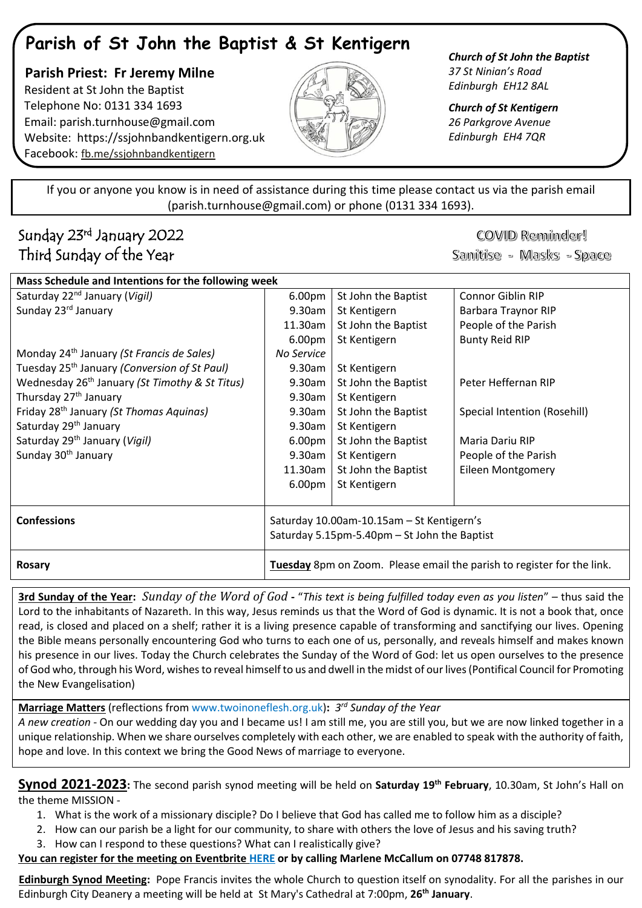# **Parish of St John the Baptist & St Kentigern**

 **Parish Priest: Fr Jeremy Milne** Resident at St John the Baptist Telephone No: 0131 334 1693 Email: [parish.turnhouse@gmail.com](mailto:parish.turnhouse@gmail.com)  Website: [https://ssjohnbandkentigern.org.uk](https://ssjohnbandkentigern.org.uk/) Facebook: [fb.me/ssjohnbandkentigern](https://fb.me/ssjohnbandkentigern)



*Church of St John the Baptist 37 St Ninian's Road Edinburgh EH12 8AL*

*Church of St Kentigern 26 Parkgrove Avenue Edinburgh EH4 7QR*

֡֡֡֡֡ If you or anyone you know is in need of assistance during this time please contact us via the parish email (parish.turnhouse@gmail.com) or phone (0131 334 1693). I

j

### Sunday 23rd January 2022 Third Sunday of the Year

## COVID Reminder!

Sanitise - Masks - Space

| Mass Schedule and Intentions for the following week        |                                                                        |                     |                              |
|------------------------------------------------------------|------------------------------------------------------------------------|---------------------|------------------------------|
| Saturday 22 <sup>nd</sup> January (Vigil)                  | 6.00pm                                                                 | St John the Baptist | <b>Connor Giblin RIP</b>     |
| Sunday 23rd January                                        | 9.30am                                                                 | St Kentigern        | Barbara Traynor RIP          |
|                                                            | 11.30am                                                                | St John the Baptist | People of the Parish         |
|                                                            | 6.00pm                                                                 | St Kentigern        | <b>Bunty Reid RIP</b>        |
| Monday 24 <sup>th</sup> January (St Francis de Sales)      | No Service                                                             |                     |                              |
| Tuesday 25 <sup>th</sup> January (Conversion of St Paul)   | 9.30am                                                                 | St Kentigern        |                              |
| Wednesday 26 <sup>th</sup> January (St Timothy & St Titus) | $9.30$ am                                                              | St John the Baptist | Peter Heffernan RIP          |
| Thursday 27 <sup>th</sup> January                          | 9.30am                                                                 | St Kentigern        |                              |
| Friday 28 <sup>th</sup> January (St Thomas Aquinas)        | 9.30am                                                                 | St John the Baptist | Special Intention (Rosehill) |
| Saturday 29 <sup>th</sup> January                          | 9.30am                                                                 | St Kentigern        |                              |
| Saturday 29 <sup>th</sup> January (Vigil)                  | 6.00 <sub>pm</sub>                                                     | St John the Baptist | Maria Dariu RIP              |
| Sunday 30 <sup>th</sup> January                            | 9.30am                                                                 | St Kentigern        | People of the Parish         |
|                                                            | 11.30am                                                                | St John the Baptist | <b>Eileen Montgomery</b>     |
|                                                            | 6.00pm                                                                 | St Kentigern        |                              |
|                                                            |                                                                        |                     |                              |
| <b>Confessions</b>                                         | Saturday 10.00am-10.15am - St Kentigern's                              |                     |                              |
|                                                            | Saturday 5.15pm-5.40pm - St John the Baptist                           |                     |                              |
| Rosary                                                     | Tuesday 8pm on Zoom. Please email the parish to register for the link. |                     |                              |

**3rd Sunday of the Year:** *Sunday of the Word of God* **-** "*This text is being fulfilled today even as you listen*" – thus said the Lord to the inhabitants of Nazareth. In this way, Jesus reminds us that the Word of God is dynamic. It is not a book that, once read, is closed and placed on a shelf; rather it is a living presence capable of transforming and sanctifying our lives. Opening the Bible means personally encountering God who turns to each one of us, personally, and reveals himself and makes known his presence in our lives. Today the Church celebrates the Sunday of the Word of God: let us open ourselves to the presence of God who, through his Word, wishes to reveal himself to us and dwell in the midst of our lives(Pontifical Council for Promoting the New Evangelisation)

**Marriage Matters** (reflections fro[m www.twoinoneflesh.org.uk\)](https://d.docs.live.net/f73d0dbfde17d20a/Documents/Church%202020/Newsletter/November/www.twoinoneflesh.org.uk)**:** *3 rd Sunday of the Year*

*A new creation* - On our wedding day you and I became us! I am still me, you are still you, but we are now linked together in a unique relationship. When we share ourselves completely with each other, we are enabled to speak with the authority of faith, hope and love. In this context we bring the Good News of marriage to everyone.

**Synod 2021-2023:** The second parish synod meeting will be held on **Saturday 19th February**, 10.30am, St John's Hall on the theme MISSION -

- 1. What is the work of a missionary disciple? Do I believe that God has called me to follow him as a disciple?
- 2. How can our parish be a light for our community, to share with others the love of Jesus and his saving truth?
- 3. How can I respond to these questions? What can I realistically give?

**You can register for the meeting on Eventbrite [HERE](https://www.eventbrite.co.uk/e/parish-synod-meeting-tickets-212714754557) or by calling Marlene McCallum on 07748 817878.**

**Edinburgh Synod Meeting:** Pope Francis invites the whole Church to question itself on synodality. For all the parishes in our Edinburgh City Deanery a meeting will be held at St Mary's Cathedral at 7:00pm, **26th January**.